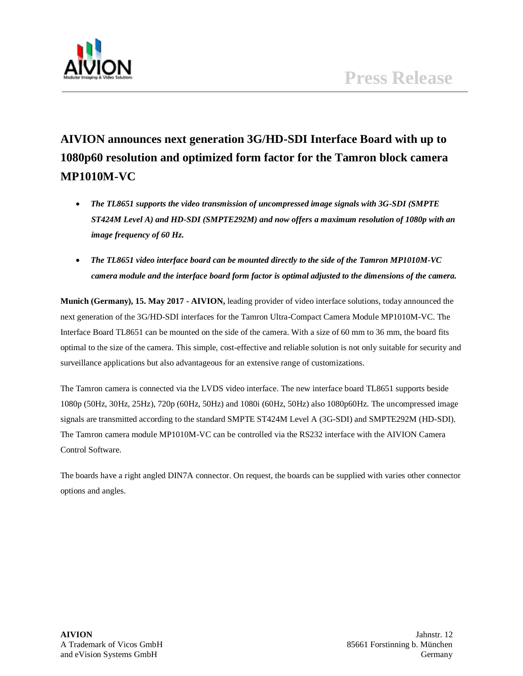

# **AIVION announces next generation 3G/HD-SDI Interface Board with up to 1080p60 resolution and optimized form factor for the Tamron block camera MP1010M-VC**

- *The TL8651 supports the video transmission of uncompressed image signals with 3G-SDI (SMPTE ST424M Level A) and HD-SDI (SMPTE292M) and now offers a maximum resolution of 1080p with an image frequency of 60 Hz.*
- *The TL8651 video interface board can be mounted directly to the side of the Tamron MP1010M-VC camera module and the interface board form factor is optimal adjusted to the dimensions of the camera.*

**Munich (Germany), 15. May 2017 - AIVION,** leading provider of video interface solutions, today announced the next generation of the 3G/HD-SDI interfaces for the Tamron Ultra-Compact Camera Module MP1010M-VC. The Interface Board TL8651 can be mounted on the side of the camera. With a size of 60 mm to 36 mm, the board fits optimal to the size of the camera. This simple, cost-effective and reliable solution is not only suitable for security and surveillance applications but also advantageous for an extensive range of customizations.

The Tamron camera is connected via the LVDS video interface. The new interface board TL8651 supports beside 1080p (50Hz, 30Hz, 25Hz), 720p (60Hz, 50Hz) and 1080i (60Hz, 50Hz) also 1080p60Hz. The uncompressed image signals are transmitted according to the standard SMPTE ST424M Level A (3G-SDI) and SMPTE292M (HD-SDI). The Tamron camera module MP1010M-VC can be controlled via the RS232 interface with the AIVION Camera Control Software.

The boards have a right angled DIN7A connector. On request, the boards can be supplied with varies other connector options and angles.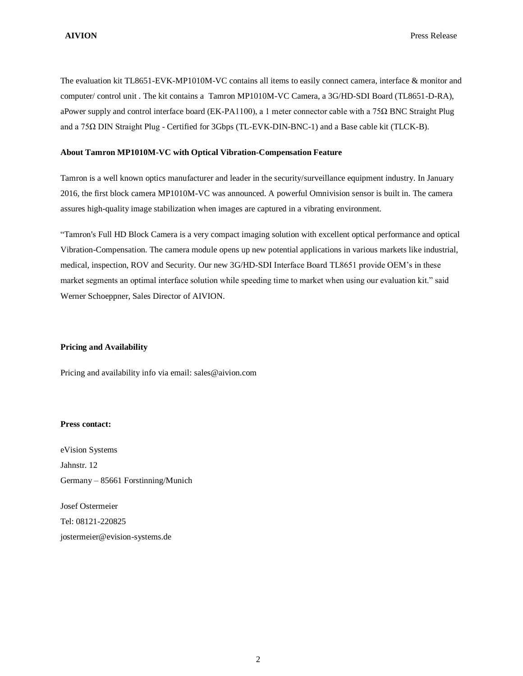The evaluation kit TL8651-EVK-MP1010M-VC contains all items to easily connect camera, interface & monitor and computer/ control unit . The kit contains a Tamron MP1010M-VC Camera, a 3G/HD-SDI Board (TL8651-D-RA), aPower supply and control interface board (EK-PA1100), a 1 meter connector cable with a 75Ω BNC Straight Plug and a 75Ω DIN Straight Plug - Certified for 3Gbps (TL-EVK-DIN-BNC-1) and a Base cable kit (TLCK-B).

#### **About Tamron MP1010M-VC with Optical Vibration-Compensation Feature**

Tamron is a well known optics manufacturer and leader in the security/surveillance equipment industry. In January 2016, the first block camera MP1010M-VC was announced. A powerful Omnivision sensor is built in. The camera assures high-quality image stabilization when images are captured in a vibrating environment.

"Tamron's Full HD Block Camera is a very compact imaging solution with excellent optical performance and optical Vibration-Compensation. The camera module opens up new potential applications in various markets like industrial, medical, inspection, ROV and Security. Our new 3G/HD-SDI Interface Board TL8651 provide OEM's in these market segments an optimal interface solution while speeding time to market when using our evaluation kit." said Werner Schoeppner, Sales Director of AIVION.

## **Pricing and Availability**

Pricing and availability info via email: [sales@aivion.com](mailto:sales@aivion.com)

## **Press contact:**

eVision Systems Jahnstr. 12 Germany – 85661 Forstinning/Munich

Josef Ostermeier Tel: 08121-220825 [jostermeier@evision-systems.de](mailto:jostermeier@evision-systems.de)